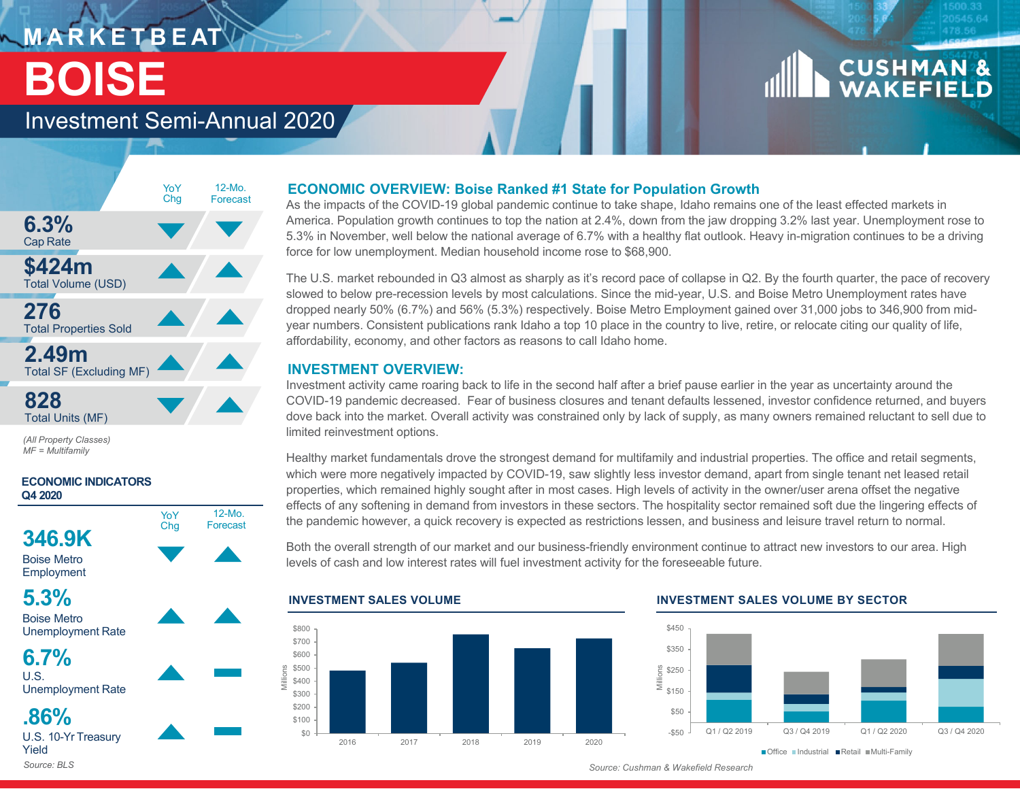## **M A R K E T B E AT BOISE**

# **CUSHMAN &**<br>WAKEFIELD

### Investment Semi-Annual 2020



YoY Cha

12-Mo.Forecast

*(All Property Classes) MF = Multifamily*

### **ECONOMIC INDICATORS Q4 2020**







Unemployment Rate

**6.7%** $\overline{U}$ . S. Unemployment Rate

**.86%**

U.S. 10-Yr Treasury Yield*Source: BLS*

### **ECONOMIC OVERVIEW: Boise Ranked #1 State for Population Growth**

As the impacts of the COVID-19 global pandemic continue to take shape, Idaho remains one of the least effected markets in America. Population growth continues to top the nation at 2.4%, down from the jaw dropping 3.2% last year. Unemployment rose to 5.3% in November, well below the national average of 6.7% with a healthy flat outlook. Heavy in-migration continues to be a driving force for low unemployment. Median household income rose to \$68,900.

The U.S. market rebounded in Q3 almost as sharply as it's record pace of collapse in Q2. By the fourth quarter, the pace of recovery slowed to below pre-recession levels by most calculations. Since the mid-year, U.S. and Boise Metro Unemployment rates have dropped nearly 50% (6.7%) and 56% (5.3%) respectively. Boise Metro Employment gained over 31,000 jobs to 346,900 from midyear numbers. Consistent publications rank Idaho a top 10 place in the country to live, retire, or relocate citing our quality of life, affordability, economy, and other factors as reasons to call Idaho home.

### **INVESTMENT OVERVIEW:**

Investment activity came roaring back to life in the second half after a brief pause earlier in the year as uncertainty around the COVID-19 pandemic decreased. Fear of business closures and tenant defaults lessened, investor confidence returned, and buyers dove back into the market. Overall activity was constrained only by lack of supply, as many owners remained reluctant to sell due to limited reinvestment options.

Healthy market fundamentals drove the strongest demand for multifamily and industrial properties. The office and retail segments, which were more negatively impacted by COVID-19, saw slightly less investor demand, apart from single tenant net leased retail properties, which remained highly sought after in most cases. High levels of activity in the owner/user arena offset the negative effects of any softening in demand from investors in these sectors. The hospitality sector remained soft due the lingering effects of the pandemic however, a quick recovery is expected as restrictions lessen, and business and leisure travel return to normal.

Both the overall strength of our market and our business-friendly environment continue to attract new investors to our area. High levels of cash and low interest rates will fuel investment activity for the foreseeable future.



### **INVESTMENT SALES VOLUME INVESTMENT SALES VOLUME BY SECTOR**



*Source: Cushman & Wakefield Research*